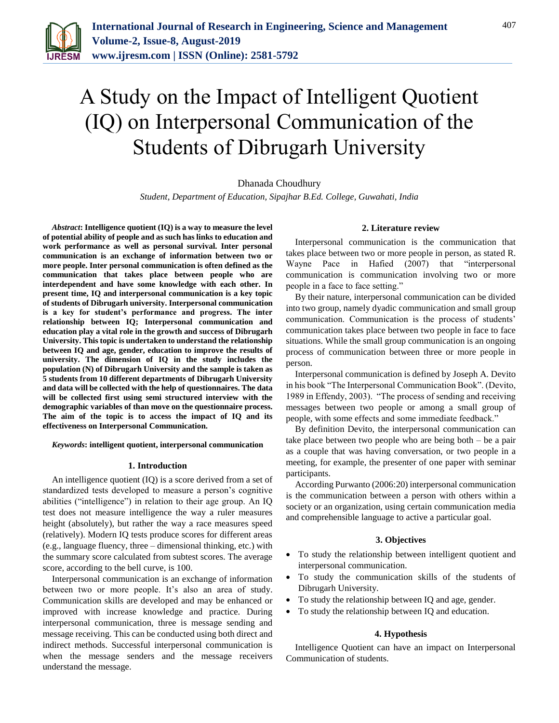

# A Study on the Impact of Intelligent Quotient (IQ) on Interpersonal Communication of the Students of Dibrugarh University

# Dhanada Choudhury

*Student, Department of Education, Sipajhar B.Ed. College, Guwahati, India*

*Abstract***: Intelligence quotient (IQ) is a way to measure the level of potential ability of people and as such has links to education and work performance as well as personal survival. Inter personal communication is an exchange of information between two or more people. Inter personal communication is often defined as the communication that takes place between people who are interdependent and have some knowledge with each other. In present time, IQ and interpersonal communication is a key topic of students of Dibrugarh university. Interpersonal communication is a key for student's performance and progress. The inter relationship between IQ; Interpersonal communication and education play a vital role in the growth and success of Dibrugarh University. This topic is undertaken to understand the relationship between IQ and age, gender, education to improve the results of university. The dimension of IQ in the study includes the population (N) of Dibrugarh University and the sample is taken as 5 students from 10 different departments of Dibrugarh University and data will be collected with the help of questionnaires. The data will be collected first using semi structured interview with the demographic variables of than move on the questionnaire process. The aim of the topic is to access the impact of IQ and its effectiveness on Interpersonal Communication.**

#### *Keywords***: intelligent quotient, interpersonal communication**

#### **1. Introduction**

An intelligence quotient (IQ) is a score derived from a set of standardized tests developed to measure a person's cognitive abilities ("intelligence") in relation to their age group. An IQ test does not measure intelligence the way a ruler measures height (absolutely), but rather the way a race measures speed (relatively). Modern IQ tests produce scores for different areas (e.g., language fluency, three – dimensional thinking, etc.) with the summary score calculated from subtest scores. The average score, according to the bell curve, is 100.

Interpersonal communication is an exchange of information between two or more people. It's also an area of study. Communication skills are developed and may be enhanced or improved with increase knowledge and practice. During interpersonal communication, three is message sending and message receiving. This can be conducted using both direct and indirect methods. Successful interpersonal communication is when the message senders and the message receivers understand the message.

#### **2. Literature review**

Interpersonal communication is the communication that takes place between two or more people in person, as stated R. Wayne Pace in Hafied (2007) that "interpersonal communication is communication involving two or more people in a face to face setting."

By their nature, interpersonal communication can be divided into two group, namely dyadic communication and small group communication. Communication is the process of students' communication takes place between two people in face to face situations. While the small group communication is an ongoing process of communication between three or more people in person.

Interpersonal communication is defined by Joseph A. Devito in his book "The Interpersonal Communication Book". (Devito, 1989 in Effendy, 2003). "The process of sending and receiving messages between two people or among a small group of people, with some effects and some immediate feedback."

By definition Devito, the interpersonal communication can take place between two people who are being both – be a pair as a couple that was having conversation, or two people in a meeting, for example, the presenter of one paper with seminar participants.

According Purwanto (2006:20) interpersonal communication is the communication between a person with others within a society or an organization, using certain communication media and comprehensible language to active a particular goal.

## **3. Objectives**

- To study the relationship between intelligent quotient and interpersonal communication.
- To study the communication skills of the students of Dibrugarh University.
- To study the relationship between IQ and age, gender.
- To study the relationship between IQ and education.

#### **4. Hypothesis**

Intelligence Quotient can have an impact on Interpersonal Communication of students.